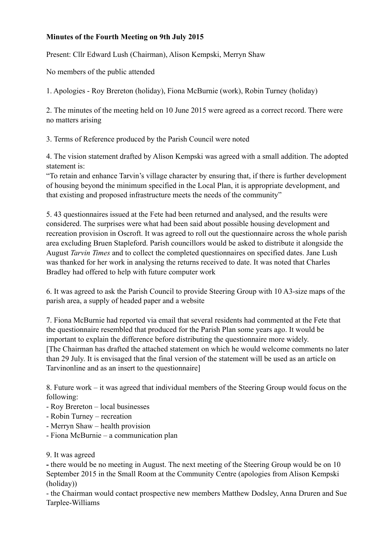## **Minutes of the Fourth Meeting on 9th July 2015**

Present: Cllr Edward Lush (Chairman), Alison Kempski, Merryn Shaw

No members of the public attended

1. Apologies - Roy Brereton (holiday), Fiona McBurnie (work), Robin Turney (holiday)

2. The minutes of the meeting held on 10 June 2015 were agreed as a correct record. There were no matters arising

3. Terms of Reference produced by the Parish Council were noted

4. The vision statement drafted by Alison Kempski was agreed with a small addition. The adopted statement is:

"To retain and enhance Tarvin's village character by ensuring that, if there is further development of housing beyond the minimum specified in the Local Plan, it is appropriate development, and that existing and proposed infrastructure meets the needs of the community"

5. 43 questionnaires issued at the Fete had been returned and analysed, and the results were considered. The surprises were what had been said about possible housing development and recreation provision in Oscroft. It was agreed to roll out the questionnaire across the whole parish area excluding Bruen Stapleford. Parish councillors would be asked to distribute it alongside the August *Tarvin Times* and to collect the completed questionnaires on specified dates. Jane Lush was thanked for her work in analysing the returns received to date. It was noted that Charles Bradley had offered to help with future computer work

6. It was agreed to ask the Parish Council to provide Steering Group with 10 A3-size maps of the parish area, a supply of headed paper and a website

7. Fiona McBurnie had reported via email that several residents had commented at the Fete that the questionnaire resembled that produced for the Parish Plan some years ago. It would be important to explain the difference before distributing the questionnaire more widely. [The Chairman has drafted the attached statement on which he would welcome comments no later than 29 July. It is envisaged that the final version of the statement will be used as an article on Tarvinonline and as an insert to the questionnaire]

8. Future work – it was agreed that individual members of the Steering Group would focus on the following:

- Roy Brereton local businesses
- Robin Turney recreation
- Merryn Shaw health provision
- Fiona McBurnie a communication plan

## 9. It was agreed

**-** there would be no meeting in August. The next meeting of the Steering Group would be on 10 September 2015 in the Small Room at the Community Centre (apologies from Alison Kempski (holiday))

- the Chairman would contact prospective new members Matthew Dodsley, Anna Druren and Sue Tarplee-Williams